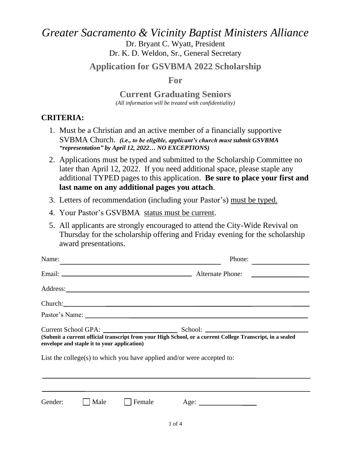# *Greater Sacramento & Vicinity Baptist Ministers Alliance* Dr. Bryant C. Wyatt, President Dr. K. D. Weldon, Sr., General Secretary

## **Application for GSVBMA 2022 Scholarship**

## **For**

**Current Graduating Seniors**  *(All information will be treated with confidentiality)*

# **CRITERIA:**

- 1. Must be a Christian and an active member of a financially supportive SVBMA Church. *(i.e., to be eligible, applicant's church must submit GSVBMA "representation" by April 12, 2022… NO EXCEPTIONS)*
- 2. Applications must be typed and submitted to the Scholarship Committee no later than April 12, 2022. If you need additional space, please staple any additional TYPED pages to this application. **Be sure to place your first and last name on any additional pages you attach**.
- 3. Letters of recommendation (including your Pastor's) must be typed.
- 4. Your Pastor's GSVBMA status must be current.
- 5. All applicants are strongly encouraged to attend the City-Wide Revival on Thursday for the scholarship offering and Friday evening for the scholarship award presentations.

| Name:   |                                             | <u> Alexandria de la contentación de la contentación de la contentación de la contentación de la contentación de</u> | Phone:                                                                                                                                                                                                                        |  |
|---------|---------------------------------------------|----------------------------------------------------------------------------------------------------------------------|-------------------------------------------------------------------------------------------------------------------------------------------------------------------------------------------------------------------------------|--|
|         |                                             |                                                                                                                      |                                                                                                                                                                                                                               |  |
|         |                                             |                                                                                                                      |                                                                                                                                                                                                                               |  |
|         |                                             |                                                                                                                      | Church: New York: New York: New York: New York: New York: New York: New York: New York: New York: New York: New York: New York: New York: New York: New York: New York: New York: New York: New York: New York: New York: New |  |
|         |                                             |                                                                                                                      |                                                                                                                                                                                                                               |  |
|         | envelope and staple it to your application) |                                                                                                                      | (Submit a current official transcript from your High School, or a current College Transcript, in a sealed<br>List the college(s) to which you have applied and/or were accepted to:                                           |  |
|         |                                             |                                                                                                                      |                                                                                                                                                                                                                               |  |
| Gender: | Male                                        | Female                                                                                                               | Age:                                                                                                                                                                                                                          |  |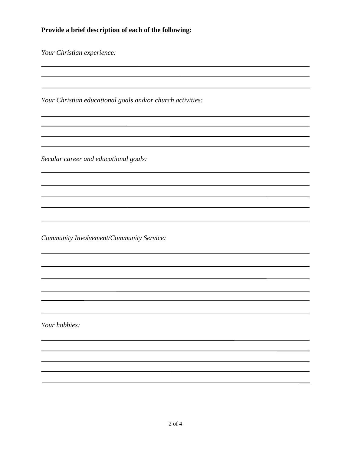### **Provide a brief description of each of the following:**

*Your Christian experience:*

*Your Christian educational goals and/or church activities:*

<u> 1989 - Andrea Andrew Maria (h. 1989).</u>

*Secular career and educational goals:*

*Community Involvement/Community Service:*

*Your hobbies:*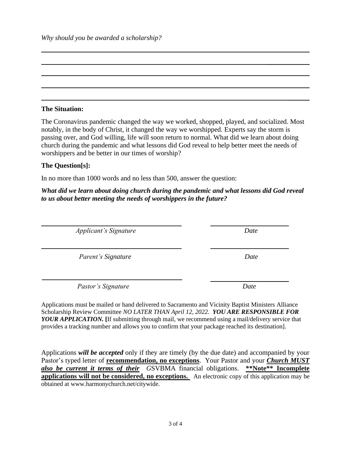*Why should you be awarded a scholarship?*

#### **The Situation:**

The Coronavirus pandemic changed the way we worked, shopped, played, and socialized. Most notably, in the body of Christ, it changed the way we worshipped. Experts say the storm is passing over, and God willing, life will soon return to normal. What did we learn about doing church during the pandemic and what lessons did God reveal to help better meet the needs of worshippers and be better in our times of worship?

#### **The Question[s]:**

In no more than 1000 words and no less than 500, answer the question:

*What did we learn about doing church during the pandemic and what lessons did God reveal to us about better meeting the needs of worshippers in the future?*

*Applicant's Signature Date*

*Parent's Signature* Date

*Pastor's Signature Date*

Applications must be mailed or hand delivered to Sacramento and Vicinity Baptist Ministers Alliance Scholarship Review Committee *NO LATER THAN April 12, 2022.**YOU ARE RESPONSIBLE FOR YOUR APPLICATION.* **[**If submitting through mail, we recommend using a mail/delivery service that provides a tracking number and allows you to confirm that your package reached its destination].

Applications *will be accepted* only if they are timely (by the due date) and accompanied by your Pastor's typed letter of **recommendation, no exceptions**. Your Pastor and your *Church MUST also be current it terms of their G*SVBMA financial obligations. **\*\*Note\*\* Incomplete applications will not be considered, no exceptions.** An electronic copy of this application may be obtained at www.harmonychurch.net/citywide.